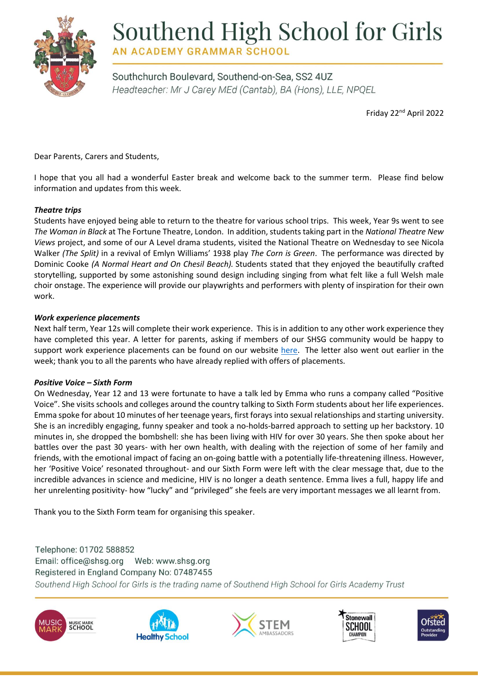

# Southend High School for Girls

**AN ACADEMY GRAMMAR SCHOOL** 

Southchurch Boulevard, Southend-on-Sea, SS2 4UZ Headteacher: Mr J Carey MEd (Cantab), BA (Hons), LLE, NPQEL

Friday 22nd April 2022

Dear Parents, Carers and Students,

I hope that you all had a wonderful Easter break and welcome back to the summer term. Please find below information and updates from this week.

# *Theatre trips*

Students have enjoyed being able to return to the theatre for various school trips. This week, Year 9s went to see *The Woman in Black* at The Fortune Theatre, London. In addition, students taking part in the *National Theatre New Views* project, and some of our A Level drama students, visited the National Theatre on Wednesday to see Nicola Walker *(The Split)* in a revival of Emlyn Williams' 1938 play *The Corn is Green*. The performance was directed by Dominic Cooke *(A Normal Heart and On Chesil Beach).* Students stated that they enjoyed the beautifully crafted storytelling, supported by some astonishing sound design including singing from what felt like a full Welsh male choir onstage. The experience will provide our playwrights and performers with plenty of inspiration for their own work.

# *Work experience placements*

Next half term, Year 12s will complete their work experience. This is in addition to any other work experience they have completed this year. A letter for parents, asking if members of our SHSG community would be happy to support work experience placements can be found on our website [here.](https://www.shsg.org/year-12-work-experience/) The letter also went out earlier in the week; thank you to all the parents who have already replied with offers of placements.

# *Positive Voice – Sixth Form*

On Wednesday, Year 12 and 13 were fortunate to have a talk led by Emma who runs a company called "Positive Voice". She visits schools and colleges around the country talking to Sixth Form students about her life experiences. Emma spoke for about 10 minutes of her teenage years, first forays into sexual relationships and starting university. She is an incredibly engaging, funny speaker and took a no-holds-barred approach to setting up her backstory. 10 minutes in, she dropped the bombshell: she has been living with HIV for over 30 years. She then spoke about her battles over the past 30 years- with her own health, with dealing with the rejection of some of her family and friends, with the emotional impact of facing an on-going battle with a potentially life-threatening illness. However, her 'Positive Voice' resonated throughout- and our Sixth Form were left with the clear message that, due to the incredible advances in science and medicine, HIV is no longer a death sentence. Emma lives a full, happy life and her unrelenting positivity- how "lucky" and "privileged" she feels are very important messages we all learnt from.

Thank you to the Sixth Form team for organising this speaker.

Telephone: 01702 588852 Registered in England Company No: 07487455 Southend High School for Girls is the trading name of Southend High School for Girls Academy Trust